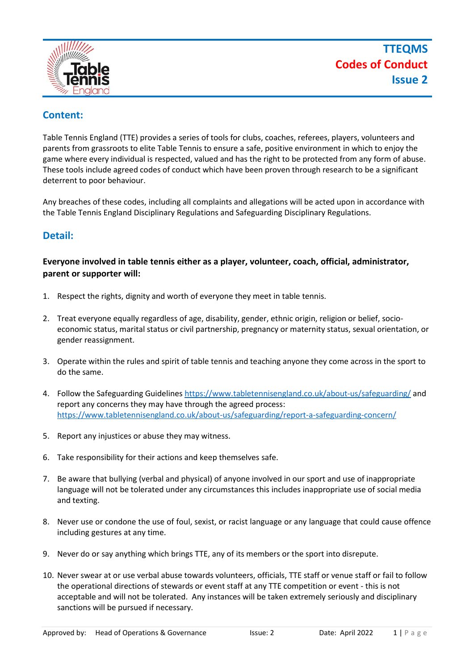

# **Content:**

Table Tennis England (TTE) provides a series of tools for clubs, coaches, referees, players, volunteers and parents from grassroots to elite Table Tennis to ensure a safe, positive environment in which to enjoy the game where every individual is respected, valued and has the right to be protected from any form of abuse. These tools include agreed codes of conduct which have been proven through research to be a significant deterrent to poor behaviour.

Any breaches of these codes, including all complaints and allegations will be acted upon in accordance with the Table Tennis England Disciplinary Regulations and Safeguarding Disciplinary Regulations.

# **Detail:**

## **Everyone involved in table tennis either as a player, volunteer, coach, official, administrator, parent or supporter will:**

- 1. Respect the rights, dignity and worth of everyone they meet in table tennis.
- 2. Treat everyone equally regardless of age, disability, gender, ethnic origin, religion or belief, socioeconomic status, marital status or civil partnership, pregnancy or maternity status, sexual orientation, or gender reassignment.
- 3. Operate within the rules and spirit of table tennis and teaching anyone they come across in the sport to do the same.
- 4. Follow the Safeguarding Guidelines<https://www.tabletennisengland.co.uk/about-us/safeguarding/> and report any concerns they may have through the agreed process: <https://www.tabletennisengland.co.uk/about-us/safeguarding/report-a-safeguarding-concern/>
- 5. Report any injustices or abuse they may witness.
- 6. Take responsibility for their actions and keep themselves safe.
- 7. Be aware that bullying (verbal and physical) of anyone involved in our sport and use of inappropriate language will not be tolerated under any circumstances this includes inappropriate use of social media and texting.
- 8. Never use or condone the use of foul, sexist, or racist language or any language that could cause offence including gestures at any time.
- 9. Never do or say anything which brings TTE, any of its members or the sport into disrepute.
- 10. Never swear at or use verbal abuse towards volunteers, officials, TTE staff or venue staff or fail to follow the operational directions of stewards or event staff at any TTE competition or event - this is not acceptable and will not be tolerated. Any instances will be taken extremely seriously and disciplinary sanctions will be pursued if necessary.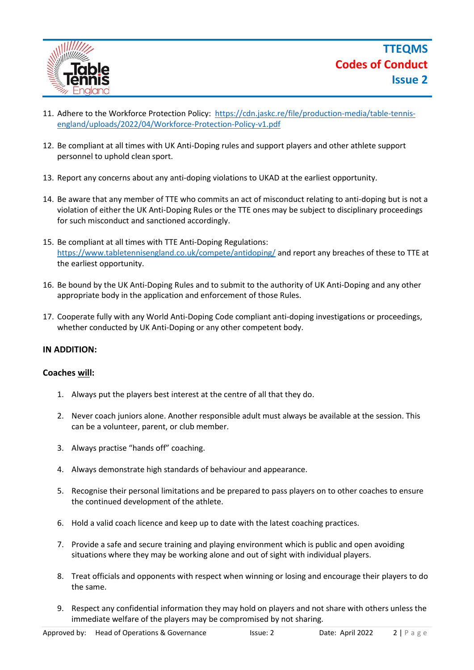

- 11. Adhere to the Workforce Protection Policy: [https://cdn.jaskc.re/file/production-media/table-tennis](https://cdn.jaskc.re/file/production-media/table-tennis-england/uploads/2022/04/Workforce-Protection-Policy-v1.pdf)[england/uploads/2022/04/Workforce-Protection-Policy-v1.pdf](https://cdn.jaskc.re/file/production-media/table-tennis-england/uploads/2022/04/Workforce-Protection-Policy-v1.pdf)
- 12. Be compliant at all times with UK Anti-Doping rules and support players and other athlete support personnel to uphold clean sport.
- 13. Report any concerns about any anti-doping violations to UKAD at the earliest opportunity.
- 14. Be aware that any member of TTE who commits an act of misconduct relating to anti-doping but is not a violation of either the UK Anti-Doping Rules or the TTE ones may be subject to disciplinary proceedings for such misconduct and sanctioned accordingly.
- 15. Be compliant at all times with TTE Anti-Doping Regulations: <https://www.tabletennisengland.co.uk/compete/antidoping/> and report any breaches of these to TTE at the earliest opportunity.
- 16. Be bound by the UK Anti-Doping Rules and to submit to the authority of UK Anti-Doping and any other appropriate body in the application and enforcement of those Rules.
- 17. Cooperate fully with any World Anti-Doping Code compliant anti-doping investigations or proceedings, whether conducted by UK Anti-Doping or any other competent body.

## **IN ADDITION:**

### **Coaches will:**

- 1. Always put the players best interest at the centre of all that they do.
- 2. Never coach juniors alone. Another responsible adult must always be available at the session. This can be a volunteer, parent, or club member.
- 3. Always practise "hands off" coaching.
- 4. Always demonstrate high standards of behaviour and appearance.
- 5. Recognise their personal limitations and be prepared to pass players on to other coaches to ensure the continued development of the athlete.
- 6. Hold a valid coach licence and keep up to date with the latest coaching practices.
- 7. Provide a safe and secure training and playing environment which is public and open avoiding situations where they may be working alone and out of sight with individual players.
- 8. Treat officials and opponents with respect when winning or losing and encourage their players to do the same.
- 9. Respect any confidential information they may hold on players and not share with others unless the immediate welfare of the players may be compromised by not sharing.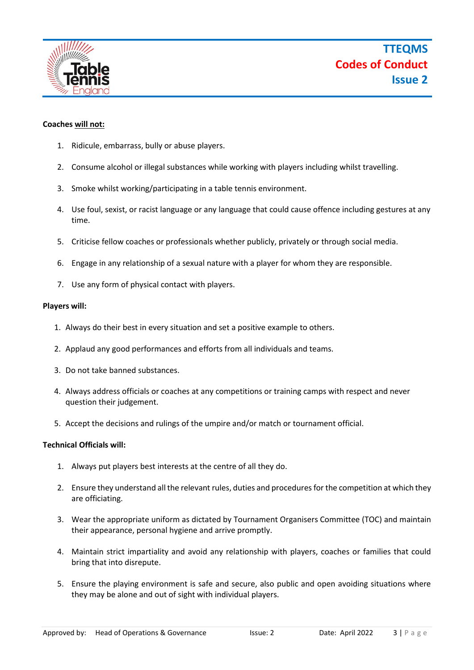

### **Coaches will not:**

- 1. Ridicule, embarrass, bully or abuse players.
- 2. Consume alcohol or illegal substances while working with players including whilst travelling.
- 3. Smoke whilst working/participating in a table tennis environment.
- 4. Use foul, sexist, or racist language or any language that could cause offence including gestures at any time.
- 5. Criticise fellow coaches or professionals whether publicly, privately or through social media.
- 6. Engage in any relationship of a sexual nature with a player for whom they are responsible.
- 7. Use any form of physical contact with players.

#### **Players will:**

- 1. Always do their best in every situation and set a positive example to others.
- 2. Applaud any good performances and efforts from all individuals and teams.
- 3. Do not take banned substances.
- 4. Always address officials or coaches at any competitions or training camps with respect and never question their judgement.
- 5. Accept the decisions and rulings of the umpire and/or match or tournament official.

### **Technical Officials will:**

- 1. Always put players best interests at the centre of all they do.
- 2. Ensure they understand all the relevant rules, duties and procedures for the competition at which they are officiating.
- 3. Wear the appropriate uniform as dictated by Tournament Organisers Committee (TOC) and maintain their appearance, personal hygiene and arrive promptly.
- 4. Maintain strict impartiality and avoid any relationship with players, coaches or families that could bring that into disrepute.
- 5. Ensure the playing environment is safe and secure, also public and open avoiding situations where they may be alone and out of sight with individual players.